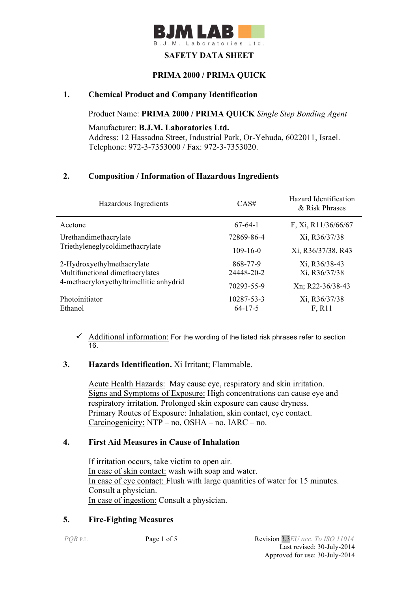

## **SAFETY DATA SHEET**

## **PRIMA 2000 / PRIMA QUICK**

### **1. Chemical Product and Company Identification**

Product Name: **PRIMA 2000 / PRIMA QUICK** *Single Step Bonding Agent*

Manufacturer: **B.J.M. Laboratories Ltd.** Address: 12 Hassadna Street, Industrial Park, Or-Yehuda, 6022011, Israel. Telephone: 972-3-7353000 / Fax: 972-3-7353020.

## **2. Composition / Information of Hazardous Ingredients**

| Hazardous Ingredients                   | CAS#           | Hazard Identification<br>& Risk Phrases |
|-----------------------------------------|----------------|-----------------------------------------|
| Acetone                                 | $67-64-1$      | F, Xi, R11/36/66/67                     |
| Urethandimethacrylate                   | 72869-86-4     | Xi, R36/37/38                           |
| Triethyleneglycoldimethacrylate         | $109 - 16 - 0$ | Xi, R36/37/38, R43                      |
| 2-Hydroxyethylmethacrylate              | 868-77-9       | Xi, R36/38-43                           |
| Multifunctional dimethacrylates         | 24448-20-2     | Xi, R36/37/38                           |
| 4-methacryloxyethyltrimellitic anhydrid | 70293-55-9     | Xn; R22-36/38-43                        |
| Photoinitiator                          | 10287-53-3     | Xi, R36/37/38                           |
| Ethanol                                 | $64 - 17 - 5$  | F, R11                                  |

 $\checkmark$  Additional information: For the wording of the listed risk phrases refer to section 16.

#### **3. Hazards Identification.** Xi Irritant; Flammable.

Acute Health Hazards: May cause eye, respiratory and skin irritation. Signs and Symptoms of Exposure: High concentrations can cause eye and respiratory irritation. Prolonged skin exposure can cause dryness. Primary Routes of Exposure: Inhalation, skin contact, eye contact. Carcinogenicity: NTP – no, OSHA – no, IARC – no.

#### **4. First Aid Measures in Cause of Inhalation**

 If irritation occurs, take victim to open air. In case of skin contact: wash with soap and water. In case of eye contact: Flush with large quantities of water for 15 minutes. Consult a physician. In case of ingestion: Consult a physician.

## **5. Fire-Fighting Measures**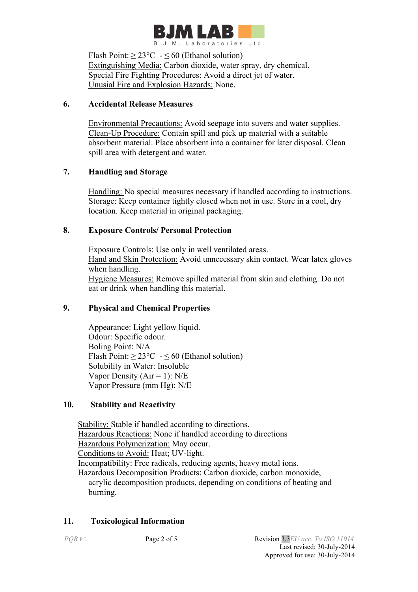

Flash Point:  $> 23^{\circ}$ C  $- 50$  (Ethanol solution) Extinguishing Media: Carbon dioxide, water spray, dry chemical. Special Fire Fighting Procedures: Avoid a direct jet of water. Unusial Fire and Explosion Hazards: None.

# **6. Accidental Release Measures**

 Environmental Precautions: Avoid seepage into suvers and water supplies. Clean-Up Procedure: Contain spill and pick up material with a suitable absorbent material. Place absorbent into a container for later disposal. Clean spill area with detergent and water.

# **7. Handling and Storage**

 Handling: No special measures necessary if handled according to instructions. Storage: Keep container tightly closed when not in use. Store in a cool, dry location. Keep material in original packaging.

# **8. Exposure Controls/ Personal Protection**

 Exposure Controls: Use only in well ventilated areas. Hand and Skin Protection: Avoid unnecessary skin contact. Wear latex gloves when handling. Hygiene Measures: Remove spilled material from skin and clothing. Do not eat or drink when handling this material.

# **9. Physical and Chemical Properties**

Appearance: Light yellow liquid. Odour: Specific odour. Boling Point: N/A Flash Point:  $\geq 23^{\circ}\text{C} - 50$  (Ethanol solution) Solubility in Water: Insoluble Vapor Density ( $Air = 1$ ):  $N/E$ Vapor Pressure (mm Hg): N/E

# **10. Stability and Reactivity**

 Stability: Stable if handled according to directions. Hazardous Reactions: None if handled according to directions Hazardous Polymerization: May occur. Conditions to Avoid: Heat; UV-light. Incompatibility: Free radicals, reducing agents, heavy metal ions. Hazardous Decomposition Products: Carbon dioxide, carbon monoxide, acrylic decomposition products, depending on conditions of heating and burning.

# **11. Toxicological Information**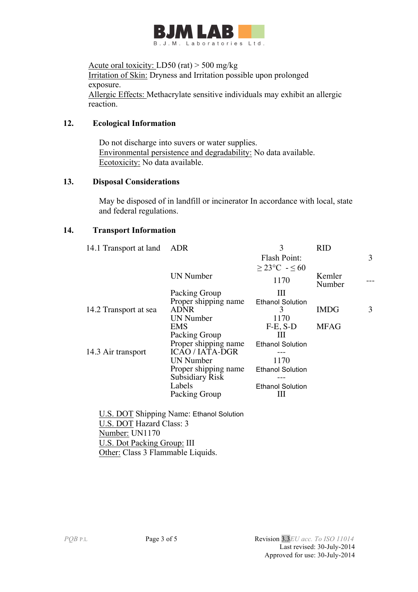

Acute oral toxicity: LD50 (rat) > 500 mg/kg Irritation of Skin: Dryness and Irritation possible upon prolonged exposure. Allergic Effects: Methacrylate sensitive individuals may exhibit an allergic reaction.

### **12. Ecological Information**

 Do not discharge into suvers or water supplies. Environmental persistence and degradability: No data available. Ecotoxicity: No data available.

#### **13. Disposal Considerations**

 May be disposed of in landfill or incinerator In accordance with local, state and federal regulations.

### **14. Transport Information**

| 14.1 Transport at land | ADR                    | 3                       | <b>RID</b>       |   |
|------------------------|------------------------|-------------------------|------------------|---|
|                        |                        | Flash Point:            |                  | 3 |
|                        |                        | $\geq$ 23°C - $\leq$ 60 |                  |   |
|                        | <b>UN</b> Number       | 1170                    | Kemler<br>Number |   |
|                        | Packing Group          | Ш                       |                  |   |
|                        | Proper shipping name   | <b>Ethanol Solution</b> |                  |   |
| 14.2 Transport at sea  | <b>ADNR</b>            | 3                       | <b>IMDG</b>      | 3 |
|                        | <b>UN</b> Number       | 1170                    |                  |   |
|                        | EMS                    | $F-E$ , $S-D$           | <b>MFAG</b>      |   |
|                        | Packing Group          | Ш                       |                  |   |
|                        | Proper shipping name   | <b>Ethanol Solution</b> |                  |   |
| 14.3 Air transport     | <b>ICAO / IATA-DGR</b> |                         |                  |   |
|                        | UN Number              | 1170                    |                  |   |
|                        | Proper shipping name   | <b>Ethanol Solution</b> |                  |   |
|                        | <b>Subsidiary Risk</b> |                         |                  |   |
|                        | Labels                 | <b>Ethanol Solution</b> |                  |   |
|                        | Packing Group          | Ш                       |                  |   |
|                        |                        |                         |                  |   |
|                        |                        |                         |                  |   |

 U.S. DOT Shipping Name: Ethanol Solution U.S. DOT Hazard Class: 3 Number: UN1170 U.S. Dot Packing Group: III Other: Class 3 Flammable Liquids.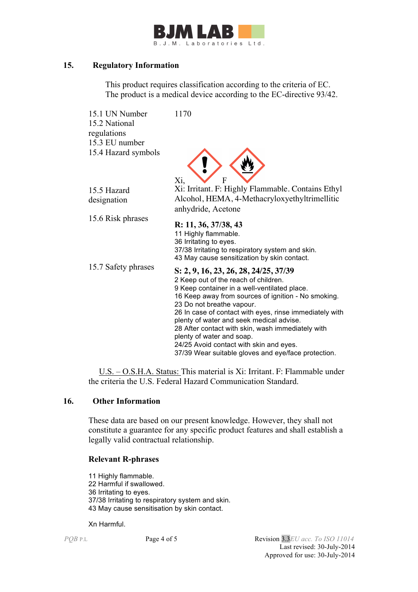

### **15. Regulatory Information**

This product requires classification according to the criteria of EC. The product is a medical device according to the EC-directive 93/42.

| 15.1 UN Number<br>15.2 National<br>regulations<br>15.3 EU number | 1170                                                                           |
|------------------------------------------------------------------|--------------------------------------------------------------------------------|
| 15.4 Hazard symbols                                              | F<br>Xi,                                                                       |
| 15.5 Hazard                                                      | Xi: Irritant. F: Highly Flammable. Contains Ethyl                              |
| designation                                                      | Alcohol, HEMA, 4-Methacryloxyethyltrimellitic                                  |
|                                                                  | anhydride, Acetone                                                             |
| 15.6 Risk phrases                                                |                                                                                |
|                                                                  | R: 11, 36, 37/38, 43                                                           |
|                                                                  | 11 Highly flammable.                                                           |
|                                                                  | 36 Irritating to eyes.<br>37/38 Irritating to respiratory system and skin.     |
|                                                                  | 43 May cause sensitization by skin contact.                                    |
| 15.7 Safety phrases                                              |                                                                                |
|                                                                  | S: 2, 9, 16, 23, 26, 28, 24/25, 37/39<br>2 Keep out of the reach of children.  |
|                                                                  | 9 Keep container in a well-ventilated place.                                   |
|                                                                  | 16 Keep away from sources of ignition - No smoking.                            |
|                                                                  | 23 Do not breathe vapour.                                                      |
|                                                                  | 26 In case of contact with eyes, rinse immediately with                        |
|                                                                  | plenty of water and seek medical advise.                                       |
|                                                                  | 28 After contact with skin, wash immediately with<br>plenty of water and soap. |
|                                                                  | 24/25 Avoid contact with skin and eyes.                                        |
|                                                                  | 37/39 Wear suitable gloves and eye/face protection.                            |

 U.S. – O.S.H.A. Status: This material is Xi: Irritant. F: Flammable under the criteria the U.S. Federal Hazard Communication Standard.

#### **16. Other Information**

These data are based on our present knowledge. However, they shall not constitute a guarantee for any specific product features and shall establish a legally valid contractual relationship.

#### **Relevant R-phrases**

11 Highly flammable. 22 Harmful if swallowed. 36 Irritating to eyes. 37/38 Irritating to respiratory system and skin. 43 May cause sensitisation by skin contact.

Xn Harmful.